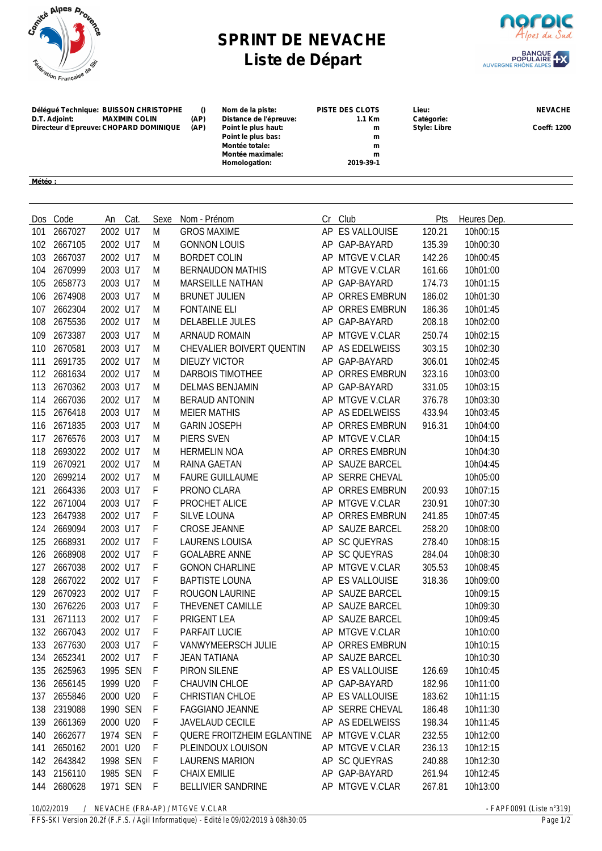

## **SPRINT DE NEVACHE Liste de Départ**



**Délégué Technique: BUISSON CHRISTOPHE () Nom de la piste: PISTE DES CLOTS Lieu: NEVACHE Distance de l'épreuve: 1.1 Km Catégorie:**<br> **Point le plus haut: 1.1 Km Catégorie:**<br> **1.1 Km Catégorie: Directeur d'Epreuve: CHOPARD DOMINIQUE (AP) Point le plus haut: m Style: Libre Coeff: 1200 Point le plus bas: m Montée totale: m Montée maximale: m Homologation: 2019-39-1 Météo :** 

|     | Dos Code    |          | An Cat.  | Sexe | Nom - Prénom               |    | Cr Club             | Pts    | Heures Dep. |
|-----|-------------|----------|----------|------|----------------------------|----|---------------------|--------|-------------|
| 101 | 2667027     | 2002 U17 |          | M    | <b>GROS MAXIME</b>         | AP | ES VALLOUISE        | 120.21 | 10h00:15    |
|     | 102 2667105 | 2002 U17 |          | M    | <b>GONNON LOUIS</b>        |    | AP GAP-BAYARD       | 135.39 | 10h00:30    |
| 103 | 2667037     | 2002 U17 |          | M    | <b>BORDET COLIN</b>        |    | AP MTGVE V.CLAR     | 142.26 | 10h00:45    |
| 104 | 2670999     | 2003 U17 |          | M    | <b>BERNAUDON MATHIS</b>    |    | AP MTGVE V.CLAR     | 161.66 | 10h01:00    |
| 105 | 2658773     | 2003 U17 |          | M    | MARSEILLE NATHAN           | AP | GAP-BAYARD          | 174.73 | 10h01:15    |
| 106 | 2674908     | 2003 U17 |          | M    | <b>BRUNET JULIEN</b>       |    | AP ORRES EMBRUN     | 186.02 | 10h01:30    |
| 107 | 2662304     | 2002 U17 |          | M    | <b>FONTAINE ELI</b>        |    | AP ORRES EMBRUN     | 186.36 | 10h01:45    |
| 108 | 2675536     | 2002 U17 |          | M    | <b>DELABELLE JULES</b>     |    | AP GAP-BAYARD       | 208.18 | 10h02:00    |
| 109 | 2673387     | 2003 U17 |          | M    | ARNAUD ROMAIN              |    | AP MTGVE V.CLAR     | 250.74 | 10h02:15    |
| 110 | 2670581     | 2003 U17 |          | M    | CHEVALIER BOIVERT QUENTIN  |    | AP AS EDELWEISS     | 303.15 | 10h02:30    |
| 111 | 2691735     | 2002 U17 |          | M    | <b>DIEUZY VICTOR</b>       |    | AP GAP-BAYARD       | 306.01 | 10h02:45    |
| 112 | 2681634     | 2002 U17 |          | M    | DARBOIS TIMOTHEE           |    | AP ORRES EMBRUN     | 323.16 | 10h03:00    |
| 113 | 2670362     | 2003 U17 |          | M    | <b>DELMAS BENJAMIN</b>     |    | AP GAP-BAYARD       | 331.05 | 10h03:15    |
| 114 | 2667036     | 2002 U17 |          | M    | <b>BERAUD ANTONIN</b>      |    | AP MTGVE V.CLAR     | 376.78 | 10h03:30    |
| 115 | 2676418     | 2003 U17 |          | M    | <b>MEIER MATHIS</b>        |    | AP AS EDELWEISS     | 433.94 | 10h03:45    |
| 116 | 2671835     | 2003 U17 |          | M    | <b>GARIN JOSEPH</b>        | AP | <b>ORRES EMBRUN</b> | 916.31 | 10h04:00    |
| 117 | 2676576     | 2003 U17 |          | M    | PIERS SVEN                 |    | AP MTGVE V.CLAR     |        | 10h04:15    |
| 118 | 2693022     | 2002 U17 |          | M    | <b>HERMELIN NOA</b>        | AP | <b>ORRES EMBRUN</b> |        | 10h04:30    |
| 119 | 2670921     | 2002 U17 |          | M    | RAINA GAETAN               |    | AP SAUZE BARCEL     |        | 10h04:45    |
| 120 | 2699214     | 2002 U17 |          | M    | <b>FAURE GUILLAUME</b>     |    | AP SERRE CHEVAL     |        | 10h05:00    |
| 121 | 2664336     | 2003 U17 |          | F    | PRONO CLARA                |    | AP ORRES EMBRUN     | 200.93 | 10h07:15    |
| 122 | 2671004     | 2003 U17 |          | F    | PROCHET ALICE              |    | AP MTGVE V.CLAR     | 230.91 | 10h07:30    |
| 123 | 2647938     | 2002 U17 |          | F    | SILVE LOUNA                | AP | <b>ORRES EMBRUN</b> | 241.85 | 10h07:45    |
| 124 | 2669094     | 2003 U17 |          | F    | <b>CROSE JEANNE</b>        |    | AP SAUZE BARCEL     | 258.20 | 10h08:00    |
| 125 | 2668931     | 2002 U17 |          | F    | <b>LAURENS LOUISA</b>      |    | AP SC QUEYRAS       | 278.40 | 10h08:15    |
| 126 | 2668908     | 2002 U17 |          | F    | <b>GOALABRE ANNE</b>       |    | AP SC QUEYRAS       | 284.04 | 10h08:30    |
| 127 | 2667038     | 2002 U17 |          | F    | <b>GONON CHARLINE</b>      |    | AP MTGVE V.CLAR     | 305.53 | 10h08:45    |
| 128 | 2667022     | 2002 U17 |          | F    | <b>BAPTISTE LOUNA</b>      |    | AP ES VALLOUISE     | 318.36 | 10h09:00    |
| 129 | 2670923     | 2002 U17 |          | F    | <b>ROUGON LAURINE</b>      |    | AP SAUZE BARCEL     |        | 10h09:15    |
| 130 | 2676226     | 2003 U17 |          | F    | THEVENET CAMILLE           |    | AP SAUZE BARCEL     |        | 10h09:30    |
| 131 | 2671113     | 2002 U17 |          | F    | PRIGENT LEA                |    | AP SAUZE BARCEL     |        | 10h09:45    |
| 132 | 2667043     | 2002 U17 |          | F    | PARFAIT LUCIE              |    | AP MTGVE V.CLAR     |        | 10h10:00    |
| 133 | 2677630     | 2003 U17 |          | F    | VANWYMEERSCH JULIE         |    | AP ORRES EMBRUN     |        | 10h10:15    |
|     | 134 2652341 |          | 2002 U17 | F    | JEAN TATIANA               |    | AP SAUZE BARCEL     |        | 10h10:30    |
|     | 135 2625963 | 1995 SEN |          | F    | PIRON SILENE               |    | AP ES VALLOUISE     | 126.69 | 10h10:45    |
|     | 136 2656145 | 1999 U20 |          | F    | CHAUVIN CHLOE              |    | AP GAP-BAYARD       | 182.96 | 10h11:00    |
|     | 137 2655846 | 2000 U20 |          | F    | <b>CHRISTIAN CHLOE</b>     |    | AP ES VALLOUISE     | 183.62 | 10h11:15    |
| 138 | 2319088     | 1990 SEN |          | F    | <b>FAGGIANO JEANNE</b>     |    | AP SERRE CHEVAL     | 186.48 | 10h11:30    |
|     | 139 2661369 | 2000 U20 |          | F    | JAVELAUD CECILE            |    | AP AS EDELWEISS     | 198.34 | 10h11:45    |
| 140 | 2662677     | 1974 SEN |          | F    | QUERE FROITZHEIM EGLANTINE |    | AP MTGVE V.CLAR     | 232.55 | 10h12:00    |
| 141 | 2650162     | 2001 U20 |          | F    | PLEINDOUX LOUISON          |    | AP MTGVE V.CLAR     | 236.13 | 10h12:15    |
|     | 142 2643842 | 1998 SEN |          | F    | <b>LAURENS MARION</b>      |    | AP SC QUEYRAS       | 240.88 | 10h12:30    |
|     | 143 2156110 | 1985 SEN |          | F    | CHAIX EMILIE               |    | AP GAP-BAYARD       | 261.94 | 10h12:45    |
| 144 | 2680628     | 1971 SEN |          | F    | BELLIVIER SANDRINE         |    | AP MTGVE V.CLAR     | 267.81 | 10h13:00    |
|     |             |          |          |      |                            |    |                     |        |             |

*10/02/2019 / NEVACHE (FRA-AP) / MTGVE V.CLAR - FAPF0091 (Liste n°319)*

*FFS-SKI Version 20.2f (F.F.S. / Agil Informatique) - Edité le 09/02/2019 à 08h30:05 Page 1/2*